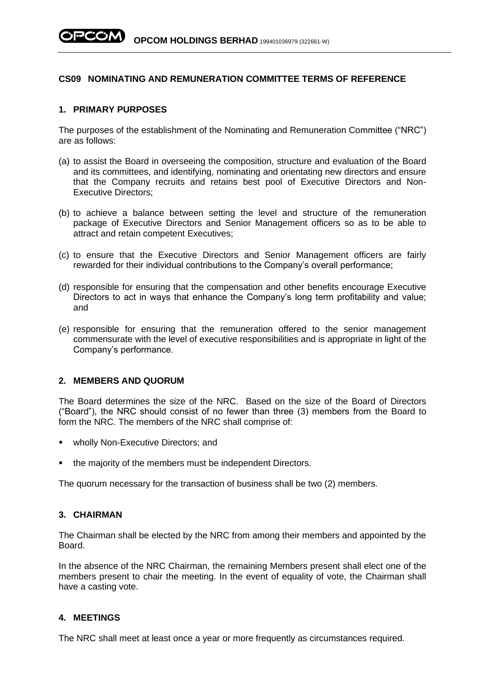# **CS09 NOMINATING AND REMUNERATION COMMITTEE TERMS OF REFERENCE**

#### **1. PRIMARY PURPOSES**

The purposes of the establishment of the Nominating and Remuneration Committee ("NRC") are as follows:

- (a) to assist the Board in overseeing the composition, structure and evaluation of the Board and its committees, and identifying, nominating and orientating new directors and ensure that the Company recruits and retains best pool of Executive Directors and Non-Executive Directors;
- (b) to achieve a balance between setting the level and structure of the remuneration package of Executive Directors and Senior Management officers so as to be able to attract and retain competent Executives;
- (c) to ensure that the Executive Directors and Senior Management officers are fairly rewarded for their individual contributions to the Company's overall performance;
- (d) responsible for ensuring that the compensation and other benefits encourage Executive Directors to act in ways that enhance the Company's long term profitability and value; and
- (e) responsible for ensuring that the remuneration offered to the senior management commensurate with the level of executive responsibilities and is appropriate in light of the Company's performance.

#### **2. MEMBERS AND QUORUM**

The Board determines the size of the NRC. Based on the size of the Board of Directors ("Board"), the NRC should consist of no fewer than three (3) members from the Board to form the NRC. The members of the NRC shall comprise of:

- **■** wholly Non-Executive Directors; and
- the majority of the members must be independent Directors.

The quorum necessary for the transaction of business shall be two (2) members.

# **3. CHAIRMAN**

The Chairman shall be elected by the NRC from among their members and appointed by the Board.

In the absence of the NRC Chairman, the remaining Members present shall elect one of the members present to chair the meeting. In the event of equality of vote, the Chairman shall have a casting vote.

# **4. MEETINGS**

The NRC shall meet at least once a year or more frequently as circumstances required.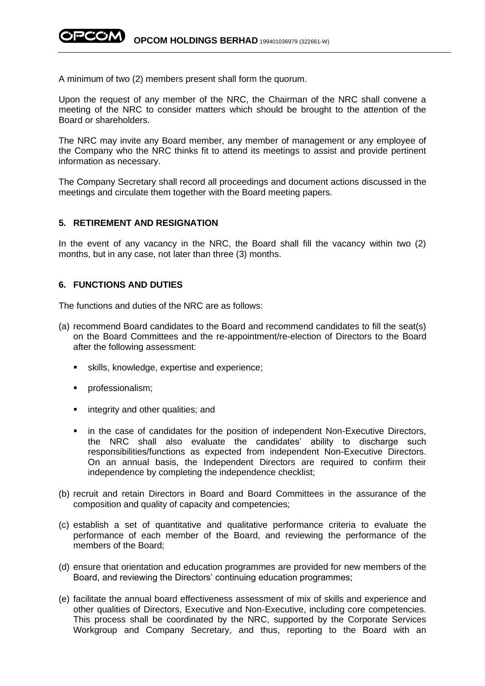A minimum of two (2) members present shall form the quorum.

Upon the request of any member of the NRC, the Chairman of the NRC shall convene a meeting of the NRC to consider matters which should be brought to the attention of the Board or shareholders.

The NRC may invite any Board member, any member of management or any employee of the Company who the NRC thinks fit to attend its meetings to assist and provide pertinent information as necessary.

The Company Secretary shall record all proceedings and document actions discussed in the meetings and circulate them together with the Board meeting papers.

#### **5. RETIREMENT AND RESIGNATION**

In the event of any vacancy in the NRC, the Board shall fill the vacancy within two (2) months, but in any case, not later than three (3) months.

### **6. FUNCTIONS AND DUTIES**

The functions and duties of the NRC are as follows:

- (a) recommend Board candidates to the Board and recommend candidates to fill the seat(s) on the Board Committees and the re-appointment/re-election of Directors to the Board after the following assessment:
	- skills, knowledge, expertise and experience;
	- **·** professionalism;
	- **E** integrity and other qualities; and
	- in the case of candidates for the position of independent Non-Executive Directors, the NRC shall also evaluate the candidates' ability to discharge such responsibilities/functions as expected from independent Non-Executive Directors. On an annual basis, the Independent Directors are required to confirm their independence by completing the independence checklist;
- (b) recruit and retain Directors in Board and Board Committees in the assurance of the composition and quality of capacity and competencies;
- (c) establish a set of quantitative and qualitative performance criteria to evaluate the performance of each member of the Board, and reviewing the performance of the members of the Board;
- (d) ensure that orientation and education programmes are provided for new members of the Board, and reviewing the Directors' continuing education programmes;
- (e) facilitate the annual board effectiveness assessment of mix of skills and experience and other qualities of Directors, Executive and Non-Executive, including core competencies. This process shall be coordinated by the NRC, supported by the Corporate Services Workgroup and Company Secretary, and thus, reporting to the Board with an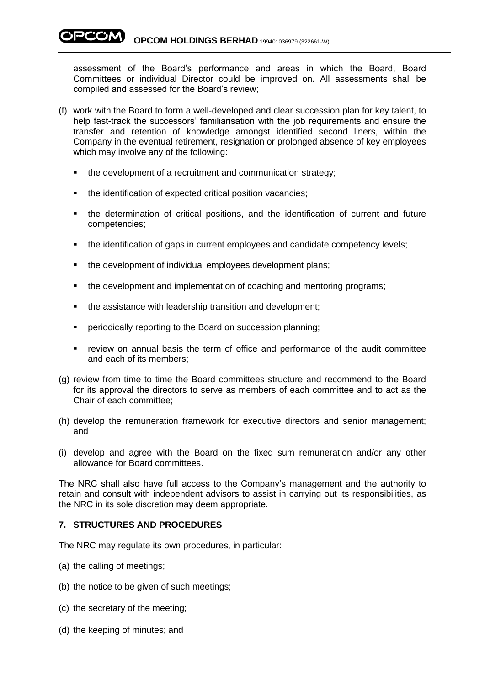assessment of the Board's performance and areas in which the Board, Board Committees or individual Director could be improved on. All assessments shall be compiled and assessed for the Board's review;

- (f) work with the Board to form a well-developed and clear succession plan for key talent, to help fast-track the successors' familiarisation with the job requirements and ensure the transfer and retention of knowledge amongst identified second liners, within the Company in the eventual retirement, resignation or prolonged absence of key employees which may involve any of the following:
	- the development of a recruitment and communication strategy;
	- the identification of expected critical position vacancies:
	- the determination of critical positions, and the identification of current and future competencies;
	- the identification of gaps in current employees and candidate competency levels;
	- the development of individual employees development plans;
	- the development and implementation of coaching and mentoring programs;
	- the assistance with leadership transition and development;
	- periodically reporting to the Board on succession planning;
	- review on annual basis the term of office and performance of the audit committee and each of its members;
- (g) review from time to time the Board committees structure and recommend to the Board for its approval the directors to serve as members of each committee and to act as the Chair of each committee;
- (h) develop the remuneration framework for executive directors and senior management; and
- (i) develop and agree with the Board on the fixed sum remuneration and/or any other allowance for Board committees.

The NRC shall also have full access to the Company's management and the authority to retain and consult with independent advisors to assist in carrying out its responsibilities, as the NRC in its sole discretion may deem appropriate.

# **7. STRUCTURES AND PROCEDURES**

The NRC may regulate its own procedures, in particular:

- (a) the calling of meetings;
- (b) the notice to be given of such meetings;
- (c) the secretary of the meeting;
- (d) the keeping of minutes; and